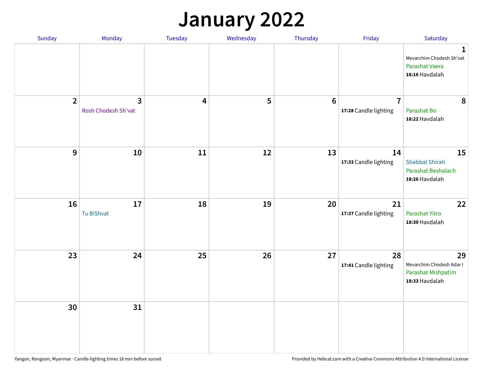## **January 2022**

| Sunday         | Monday                   | Tuesday                 | Wednesday | Thursday        | Friday                                  | Saturday                                                                     |
|----------------|--------------------------|-------------------------|-----------|-----------------|-----------------------------------------|------------------------------------------------------------------------------|
|                |                          |                         |           |                 |                                         | $\mathbf{1}$<br>Mevarchim Chodesh Sh'vat<br>Parashat Vaera<br>18:18 Havdalah |
| $\overline{2}$ | 3<br>Rosh Chodesh Sh'vat | $\overline{\mathbf{4}}$ | 5         | $6\phantom{1}6$ | $\overline{7}$<br>17:28 Candle lighting | 8<br>Parashat Bo<br>18:22 Havdalah                                           |
| $\mathbf{9}$   | 10                       | ${\bf 11}$              | 12        | 13              | 14<br>17:33 Candle lighting             | 15<br><b>Shabbat Shirah</b><br>Parashat Beshalach<br>18:26 Havdalah          |
| 16             | 17<br>Tu BiShvat         | 18                      | 19        | 20              | 21<br>17:37 Candle lighting             | 22<br>Parashat Yitro<br>18:30 Havdalah                                       |
| 23             | 24                       | 25                      | 26        | 27              | 28<br>17:41 Candle lighting             | 29<br>Mevarchim Chodesh Adar I<br>Parashat Mishpatim<br>18:33 Havdalah       |
| 30             | 31                       |                         |           |                 |                                         |                                                                              |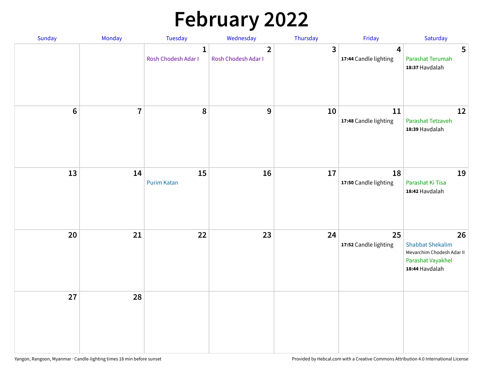# **February 2022**

| Sunday | Monday                  | <b>Tuesday</b>                      | Wednesday                             | Thursday | Friday                                           | Saturday                                                                                          |
|--------|-------------------------|-------------------------------------|---------------------------------------|----------|--------------------------------------------------|---------------------------------------------------------------------------------------------------|
|        |                         | $\mathbf{1}$<br>Rosh Chodesh Adar I | $\overline{2}$<br>Rosh Chodesh Adar I | 3        | $\overline{\mathbf{4}}$<br>17:44 Candle lighting | 5<br>Parashat Terumah<br>18:37 Havdalah                                                           |
| $6\,$  | $\overline{\mathbf{7}}$ | 8                                   | 9                                     | 10       | 11<br>17:48 Candle lighting                      | 12<br>Parashat Tetzaveh<br>18:39 Havdalah                                                         |
| 13     | 14                      | 15<br><b>Purim Katan</b>            | 16                                    | 17       | 18<br>17:50 Candle lighting                      | 19<br>Parashat Ki Tisa<br>18:42 Havdalah                                                          |
| 20     | 21                      | 22                                  | 23                                    | 24       | 25<br>17:52 Candle lighting                      | 26<br><b>Shabbat Shekalim</b><br>Mevarchim Chodesh Adar II<br>Parashat Vayakhel<br>18:44 Havdalah |
| 27     | 28                      |                                     |                                       |          |                                                  |                                                                                                   |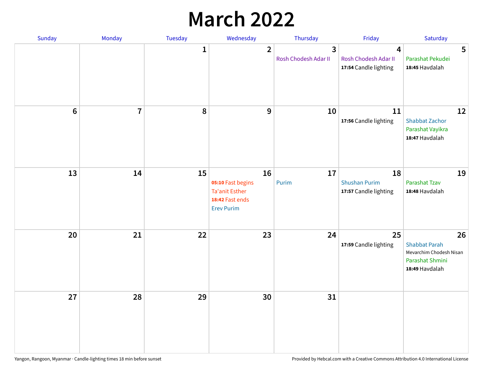## **March 2022**

| Sunday  | <b>Monday</b>  | Tuesday      | Wednesday                                                                         | Thursday                                        | Friday                                              | Saturday                                                                                   |
|---------|----------------|--------------|-----------------------------------------------------------------------------------|-------------------------------------------------|-----------------------------------------------------|--------------------------------------------------------------------------------------------|
|         |                | $\mathbf{1}$ | $\overline{2}$                                                                    | $\overline{\mathbf{3}}$<br>Rosh Chodesh Adar II | 4<br>Rosh Chodesh Adar II<br>17:54 Candle lighting  | 5<br>Parashat Pekudei<br>18:45 Havdalah                                                    |
| $\bf 6$ | $\overline{7}$ | 8            | 9                                                                                 | 10                                              | 11<br>17:56 Candle lighting                         | 12<br><b>Shabbat Zachor</b><br>Parashat Vayikra<br>18:47 Havdalah                          |
| 13      | 14             | 15           | 16<br>05:10 Fast begins<br>Ta'anit Esther<br>18:42 Fast ends<br><b>Erev Purim</b> | 17<br>Purim                                     | 18<br><b>Shushan Purim</b><br>17:57 Candle lighting | 19<br>Parashat Tzav<br>18:48 Havdalah                                                      |
| 20      | 21             | 22           | 23                                                                                | 24                                              | 25<br>17:59 Candle lighting                         | 26<br><b>Shabbat Parah</b><br>Mevarchim Chodesh Nisan<br>Parashat Shmini<br>18:49 Havdalah |
| 27      | 28             | 29           | 30                                                                                | 31                                              |                                                     |                                                                                            |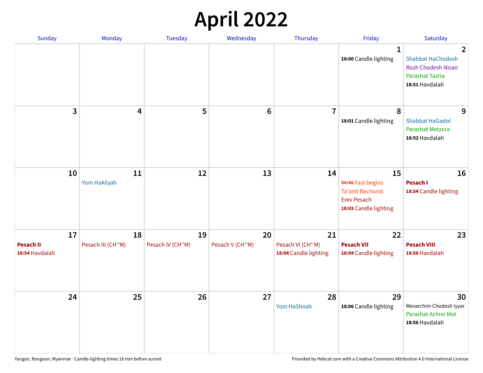## **April 2022**

| Sunday                                   | Monday                  | <b>Tuesday</b>         | Wednesday             | Thursday                                        | Friday                                                                                            | Saturday                                                                                                            |
|------------------------------------------|-------------------------|------------------------|-----------------------|-------------------------------------------------|---------------------------------------------------------------------------------------------------|---------------------------------------------------------------------------------------------------------------------|
|                                          |                         |                        |                       |                                                 | $\mathbf{1}$<br>18:00 Candle lighting                                                             | $\overline{2}$<br><b>Shabbat HaChodesh</b><br><b>Rosh Chodesh Nisan</b><br><b>Parashat Tazria</b><br>18:51 Havdalah |
| 3                                        | $\overline{\mathbf{4}}$ | 5                      | $6\phantom{1}6$       | $\overline{7}$                                  | 8<br>18:01 Candle lighting                                                                        | 9<br><b>Shabbat HaGadol</b><br>Parashat Metzora<br>18:52 Havdalah                                                   |
| 10                                       | 11<br>Yom HaAliyah      | 12                     | 13                    | 14                                              | 15<br>04:46 Fast begins<br><b>Ta'anit Bechorot</b><br><b>Erev Pesach</b><br>18:02 Candle lighting | 16<br>Pesach I<br>18:54 Candle lighting                                                                             |
| 17<br><b>Pesach II</b><br>18:54 Havdalah | 18<br>Pesach III (CH"M) | 19<br>Pesach IV (CH"M) | 20<br>Pesach V (CH"M) | 21<br>Pesach VI (CH"M)<br>18:04 Candle lighting | 22<br><b>Pesach VII</b><br>18:04 Candle lighting                                                  | 23<br><b>Pesach VIII</b><br>18:56 Havdalah                                                                          |
| 24                                       | 25                      | 26                     | 27                    | 28<br>Yom HaShoah                               | 29<br>18:06 Candle lighting                                                                       | 30<br>Mevarchim Chodesh Iyyar<br>Parashat Achrei Mot<br>18:58 Havdalah                                              |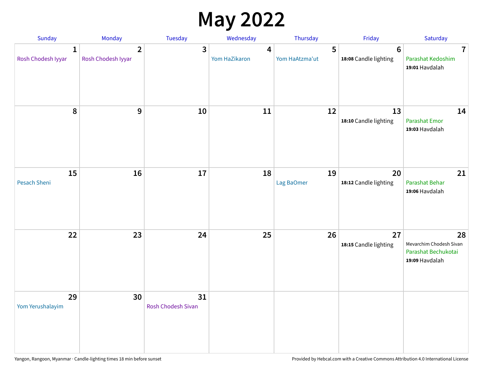## **May 2022**

| Sunday                             | Monday                               | Tuesday                         | Wednesday          | Thursday            | Friday                                   | Saturday                                                               |
|------------------------------------|--------------------------------------|---------------------------------|--------------------|---------------------|------------------------------------------|------------------------------------------------------------------------|
| $\mathbf{1}$<br>Rosh Chodesh Iyyar | $\overline{2}$<br>Rosh Chodesh Iyyar | 3                               | 4<br>Yom HaZikaron | 5<br>Yom HaAtzma'ut | $6\phantom{1}6$<br>18:08 Candle lighting | $\overline{7}$<br>Parashat Kedoshim<br>19:01 Havdalah                  |
| $\pmb{8}$                          | $\mathbf{9}$                         | 10                              | 11                 | 12                  | 13<br>18:10 Candle lighting              | 14<br><b>Parashat Emor</b><br>19:03 Havdalah                           |
| 15<br>Pesach Sheni                 | 16                                   | 17                              | 18                 | 19<br>Lag BaOmer    | 20<br>18:12 Candle lighting              | 21<br>Parashat Behar<br>19:06 Havdalah                                 |
| 22                                 | 23                                   | 24                              | 25                 | 26                  | 27<br>18:15 Candle lighting              | 28<br>Mevarchim Chodesh Sivan<br>Parashat Bechukotai<br>19:09 Havdalah |
| 29<br>Yom Yerushalayim             | 30                                   | 31<br><b>Rosh Chodesh Sivan</b> |                    |                     |                                          |                                                                        |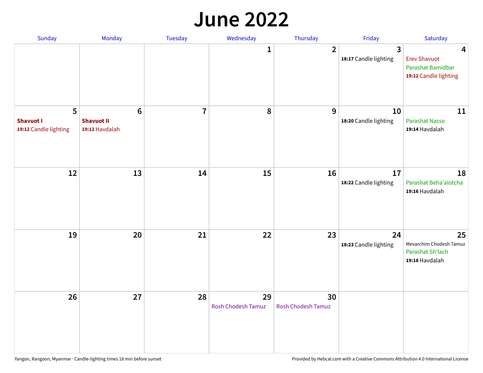#### **June 2022**

| Sunday                                         | Monday                                                | Tuesday        | Wednesday                       | Thursday                        | Friday                      | Saturday                                                               |
|------------------------------------------------|-------------------------------------------------------|----------------|---------------------------------|---------------------------------|-----------------------------|------------------------------------------------------------------------|
|                                                |                                                       |                | 1                               | $\overline{2}$                  | 3<br>18:17 Candle lighting  | 4<br><b>Erev Shavuot</b><br>Parashat Bamidbar<br>19:12 Candle lighting |
| 5<br><b>Shavuot I</b><br>19:12 Candle lighting | $6\phantom{1}$<br><b>Shavuot II</b><br>19:12 Havdalah | $\overline{7}$ | 8                               | 9                               | 10<br>18:20 Candle lighting | 11<br><b>Parashat Nasso</b><br>19:14 Havdalah                          |
| 12                                             | 13                                                    | 14             | 15                              | 16                              | 17<br>18:22 Candle lighting | 18<br>Parashat Beha'alotcha<br>19:16 Havdalah                          |
| 19                                             | 20                                                    | 21             | 22                              | 23                              | 24<br>18:23 Candle lighting | 25<br>Mevarchim Chodesh Tamuz<br>Parashat Sh'lach<br>19:18 Havdalah    |
| 26                                             | 27                                                    | 28             | 29<br><b>Rosh Chodesh Tamuz</b> | 30<br><b>Rosh Chodesh Tamuz</b> |                             |                                                                        |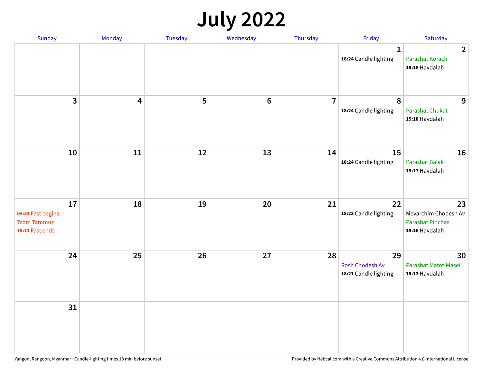## **July 2022**

| Sunday                                                           | Monday | Tuesday | Wednesday | Thursday       | Friday                                         | Saturday                                                                |
|------------------------------------------------------------------|--------|---------|-----------|----------------|------------------------------------------------|-------------------------------------------------------------------------|
|                                                                  |        |         |           |                | $\mathbf{1}$<br>18:24 Candle lighting          | $\overline{2}$<br>Parashat Korach<br>19:18 Havdalah                     |
| $\mathbf{3}$                                                     | 4      | 5       | $\bf 6$   | $\overline{7}$ | $\boldsymbol{8}$<br>18:24 Candle lighting      | 9<br><b>Parashat Chukat</b><br>19:18 Havdalah                           |
| 10                                                               | 11     | 12      | 13        | 14             | 15<br>18:24 Candle lighting                    | 16<br>Parashat Balak<br>19:17 Havdalah                                  |
| 17<br>04:31 Fast begins<br><b>Tzom Tammuz</b><br>19:11 Fast ends | 18     | 19      | 20        | 21             | 22<br>18:23 Candle lighting                    | 23<br>Mevarchim Chodesh Av<br><b>Parashat Pinchas</b><br>19:16 Havdalah |
| 24                                                               | 25     | 26      | 27        | 28             | 29<br>Rosh Chodesh Av<br>18:21 Candle lighting | 30<br>Parashat Matot-Masei<br>19:13 Havdalah                            |
| 31                                                               |        |         |           |                |                                                |                                                                         |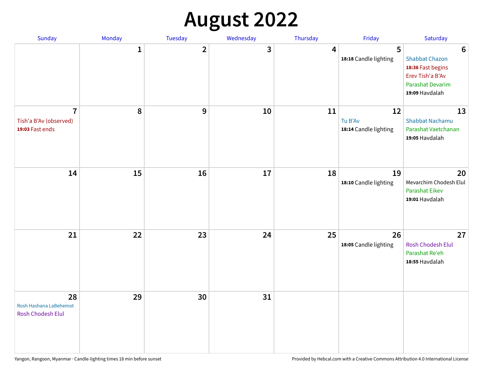## **August 2022**

| Sunday                                                      | Monday       | Tuesday                 | Wednesday | Thursday | Friday                                 | Saturday                                                                                                                       |
|-------------------------------------------------------------|--------------|-------------------------|-----------|----------|----------------------------------------|--------------------------------------------------------------------------------------------------------------------------------|
|                                                             | $\mathbf{1}$ | $\overline{\mathbf{2}}$ | 3         | 4        | 5<br>18:18 Candle lighting             | $6\phantom{1}6$<br><b>Shabbat Chazon</b><br>18:36 Fast begins<br>Erev Tish'a B'Av<br><b>Parashat Devarim</b><br>19:09 Havdalah |
| $\overline{7}$<br>Tish'a B'Av (observed)<br>19:03 Fast ends | 8            | 9                       | 10        | 11       | 12<br>Tu B'Av<br>18:14 Candle lighting | 13<br><b>Shabbat Nachamu</b><br>Parashat Vaetchanan<br>19:05 Havdalah                                                          |
| 14                                                          | 15           | 16                      | 17        | 18       | 19<br>18:10 Candle lighting            | 20<br>Mevarchim Chodesh Elul<br>Parashat Eikev<br>19:01 Havdalah                                                               |
| 21                                                          | 22           | 23                      | 24        | 25       | 26<br>18:05 Candle lighting            | 27<br><b>Rosh Chodesh Elul</b><br>Parashat Re'eh<br>18:55 Havdalah                                                             |
| 28<br>Rosh Hashana LaBehemot<br><b>Rosh Chodesh Elul</b>    | 29           | 30                      | 31        |          |                                        |                                                                                                                                |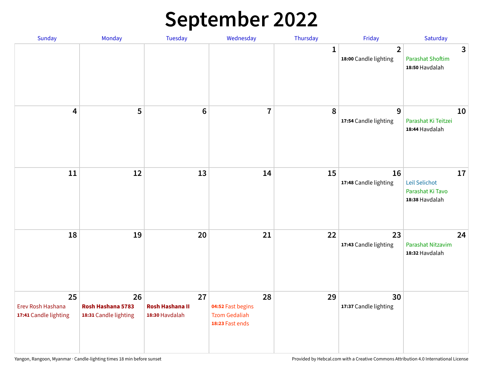## **September 2022**

| Sunday                                           | Monday                                           | Tuesday                                        | Wednesday                                                          | Thursday     | Friday                                  | Saturday                                                  |
|--------------------------------------------------|--------------------------------------------------|------------------------------------------------|--------------------------------------------------------------------|--------------|-----------------------------------------|-----------------------------------------------------------|
|                                                  |                                                  |                                                |                                                                    | $\mathbf{1}$ | $\overline{2}$<br>18:00 Candle lighting | 3<br><b>Parashat Shoftim</b><br>18:50 Havdalah            |
| $\overline{\mathbf{4}}$                          | 5                                                | $6\phantom{1}6$                                | $\overline{7}$                                                     | 8            | 9<br>17:54 Candle lighting              | 10<br>Parashat Ki Teitzei<br>18:44 Havdalah               |
| 11                                               | 12                                               | 13                                             | 14                                                                 | 15           | 16<br>17:48 Candle lighting             | 17<br>Leil Selichot<br>Parashat Ki Tavo<br>18:38 Havdalah |
| 18                                               | 19                                               | 20                                             | 21                                                                 | 22           | 23<br>17:43 Candle lighting             | 24<br>Parashat Nitzavim<br>18:32 Havdalah                 |
| 25<br>Erev Rosh Hashana<br>17:41 Candle lighting | 26<br>Rosh Hashana 5783<br>18:31 Candle lighting | 27<br><b>Rosh Hashana II</b><br>18:30 Havdalah | 28<br>04:52 Fast begins<br><b>Tzom Gedaliah</b><br>18:23 Fast ends | 29           | 30<br>17:37 Candle lighting             |                                                           |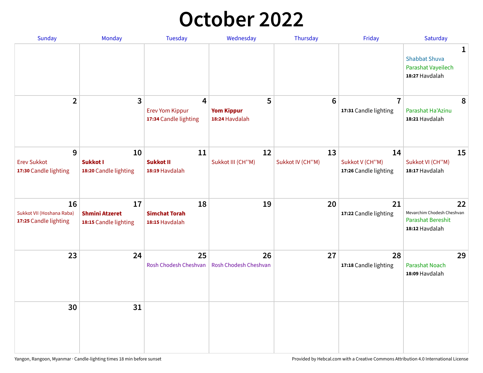## **October 2022**

| Sunday                                                   | <b>Monday</b>                                        | <b>Tuesday</b>                                                    | Wednesday                                | Thursday               | Friday                                         | Saturday                                                                |
|----------------------------------------------------------|------------------------------------------------------|-------------------------------------------------------------------|------------------------------------------|------------------------|------------------------------------------------|-------------------------------------------------------------------------|
|                                                          |                                                      |                                                                   |                                          |                        |                                                | 1<br><b>Shabbat Shuva</b><br>Parashat Vayeilech<br>18:27 Havdalah       |
| $\overline{2}$                                           | $\overline{\mathbf{3}}$                              | $\overline{4}$<br><b>Erev Yom Kippur</b><br>17:34 Candle lighting | 5<br><b>Yom Kippur</b><br>18:24 Havdalah | 6                      | $\overline{7}$<br>17:31 Candle lighting        | 8<br>Parashat Ha'Azinu<br>18:21 Havdalah                                |
| 9<br><b>Erev Sukkot</b><br>17:30 Candle lighting         | 10<br><b>Sukkot I</b><br>18:20 Candle lighting       | 11<br><b>Sukkot II</b><br>18:19 Havdalah                          | 12<br>Sukkot III (CH"M)                  | 13<br>Sukkot IV (CH"M) | 14<br>Sukkot V (CH"M)<br>17:26 Candle lighting | 15<br>Sukkot VI (CH"M)<br>18:17 Havdalah                                |
| 16<br>Sukkot VII (Hoshana Raba)<br>17:25 Candle lighting | 17<br><b>Shmini Atzeret</b><br>18:15 Candle lighting | 18<br><b>Simchat Torah</b><br>18:15 Havdalah                      | 19                                       | 20                     | 21<br>17:22 Candle lighting                    | 22<br>Mevarchim Chodesh Cheshvan<br>Parashat Bereshit<br>18:12 Havdalah |
| 23                                                       | 24                                                   | 25<br>Rosh Chodesh Cheshvan                                       | 26<br>Rosh Chodesh Cheshvan              | 27                     | 28<br>17:18 Candle lighting                    | 29<br><b>Parashat Noach</b><br>18:09 Havdalah                           |
| 30                                                       | 31                                                   |                                                                   |                                          |                        |                                                |                                                                         |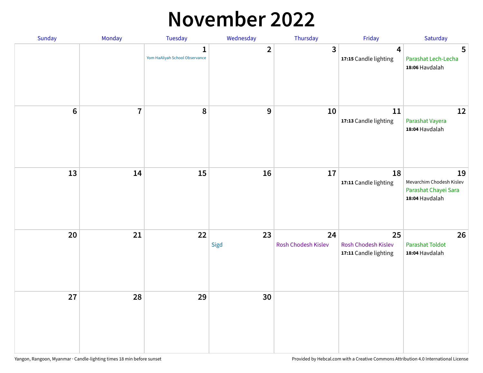#### **November 2022**

| Sunday         | Monday         | Tuesday                             | Wednesday               | Thursday                  | Friday                                             | Saturday                                                                 |
|----------------|----------------|-------------------------------------|-------------------------|---------------------------|----------------------------------------------------|--------------------------------------------------------------------------|
|                |                | 1<br>Yom HaAliyah School Observance | $\overline{\mathbf{2}}$ | $\mathbf{3}$              | $\overline{\mathbf{4}}$<br>17:15 Candle lighting   | 5<br>Parashat Lech-Lecha<br>18:06 Havdalah                               |
| $6\phantom{1}$ | $\overline{7}$ | 8                                   | $\boldsymbol{9}$        | 10                        | 11<br>17:13 Candle lighting                        | 12<br>Parashat Vayera<br>18:04 Havdalah                                  |
| 13             | 14             | 15                                  | 16                      | 17                        | 18<br>17:11 Candle lighting                        | 19<br>Mevarchim Chodesh Kislev<br>Parashat Chayei Sara<br>18:04 Havdalah |
| 20             | 21             | 22                                  | 23<br>Sigd              | 24<br>Rosh Chodesh Kislev | 25<br>Rosh Chodesh Kislev<br>17:11 Candle lighting | 26<br><b>Parashat Toldot</b><br>18:04 Havdalah                           |
| 27             | 28             | 29                                  | 30                      |                           |                                                    |                                                                          |